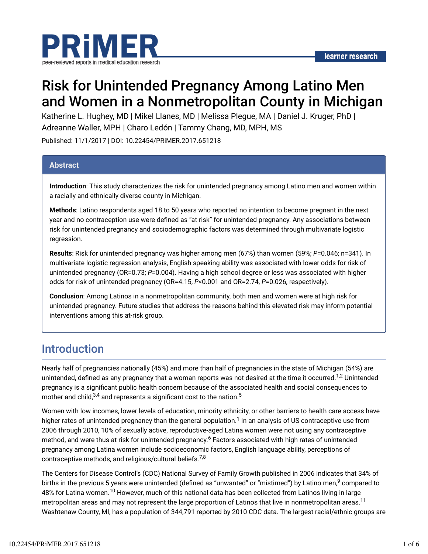

# Risk for Unintended Pregnancy Among Latino Men and Women in a Nonmetropolitan County in Michigan

Katherine L. Hughey, MD | Mikel Llanes, MD | Melissa Plegue, MA | Daniel J. Kruger, PhD | Adreanne Waller, MPH | Charo Ledón | Tammy Chang, MD, MPH, MS

Published: 11/1/2017 | DOI: 10.22454/PRiMER.2017.651218

#### **Abstract**

**Introduction**: This study characterizes the risk for unintended pregnancy among Latino men and women within a racially and ethnically diverse county in Michigan.

**Methods**: Latino respondents aged 18 to 50 years who reported no intention to become pregnant in the next year and no contraception use were defined as "at risk" for unintended pregnancy. Any associations between risk for unintended pregnancy and sociodemographic factors was determined through multivariate logistic regression.

**Results**: Risk for unintended pregnancy was higher among men (67%) than women (59%; *P*=0.046; n=341). In multivariate logistic regression analysis, English speaking ability was associated with lower odds for risk of unintended pregnancy (OR=0.73; *P*=0.004). Having a high school degree or less was associated with higher odds for risk of unintended pregnancy (OR=4.15, *P*<0.001 and OR=2.74, *P*=0.026, respectively).

**Conclusion**: Among Latinos in a nonmetropolitan community, both men and women were at high risk for unintended pregnancy. Future studies that address the reasons behind this elevated risk may inform potential interventions among this at-risk group.

### Introduction

Nearly half of pregnancies nationally (45%) and more than half of pregnancies in the state of Michigan (54%) are unintended, defined as any pregnancy that a woman reports was not desired at the time it occurred.<sup>1,2</sup> Unintended pregnancy is a significant public health concern because of the associated health and social consequences to mother and child, $^{3,4}$  and represents a significant cost to the nation. $^{\rm 5}$ 

Women with low incomes, lower levels of education, minority ethnicity, or other barriers to health care access have higher rates of unintended pregnancy than the general population. $^1$  In an analysis of US contraceptive use from 2006 through 2010, 10% of sexually active, reproductive-aged Latina women were not using any contraceptive method, and were thus at risk for unintended pregnancy.<sup>6</sup> Factors associated with high rates of unintended pregnancy among Latina women include socioeconomic factors, English language ability, perceptions of contraceptive methods, and religious/cultural beliefs.<sup>7,8</sup>

The Centers for Disease Control's (CDC) National Survey of Family Growth published in 2006 indicates that 34% of births in the previous 5 years were unintended (defined as "unwanted" or "mistimed") by Latino men, $^9$  compared to 48% for Latina women.<sup>10</sup> However, much of this national data has been collected from Latinos living in large metropolitan areas and may not represent the large proportion of Latinos that live in nonmetropolitan areas.<sup>11</sup> Washtenaw County, MI, has a population of 344,791 reported by 2010 CDC data. The largest racial/ethnic groups are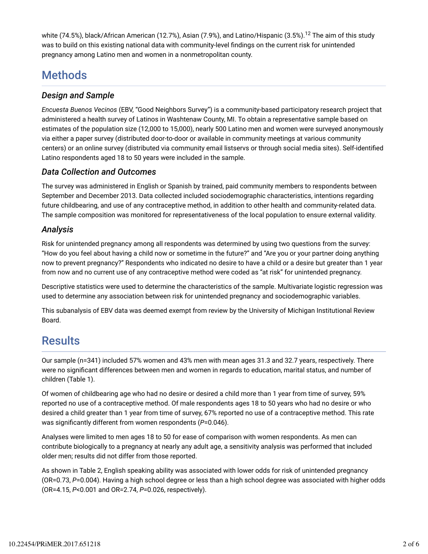white (74.5%), black/African American (12.7%), Asian (7.9%), and Latino/Hispanic (3.5%).<sup>12</sup> The aim of this study was to build on this existing national data with community-level findings on the current risk for unintended pregnancy among Latino men and women in a nonmetropolitan county.

## Methods

### *Design and Sample*

*Encuesta Buenos Vecinos* (EBV, "Good Neighbors Survey") is a community-based participatory research project that administered a health survey of Latinos in Washtenaw County, MI. To obtain a representative sample based on estimates of the population size (12,000 to 15,000), nearly 500 Latino men and women were surveyed anonymously via either a paper survey (distributed door-to-door or available in community meetings at various community centers) or an online survey (distributed via community email listservs or through social media sites). Self-identified Latino respondents aged 18 to 50 years were included in the sample.

### *Data Collection and Outcomes*

The survey was administered in English or Spanish by trained, paid community members to respondents between September and December 2013. Data collected included sociodemographic characteristics, intentions regarding future childbearing, and use of any contraceptive method, in addition to other health and community-related data. The sample composition was monitored for representativeness of the local population to ensure external validity.

### *Analysis*

Risk for unintended pregnancy among all respondents was determined by using two questions from the survey: "How do you feel about having a child now or sometime in the future?" and "Are you or your partner doing anything now to prevent pregnancy?" Respondents who indicated no desire to have a child or a desire but greater than 1 year from now and no current use of any contraceptive method were coded as "at risk" for unintended pregnancy.

Descriptive statistics were used to determine the characteristics of the sample. Multivariate logistic regression was used to determine any association between risk for unintended pregnancy and sociodemographic variables.

This subanalysis of EBV data was deemed exempt from review by the University of Michigan Institutional Review Board.

### **Results**

Our sample (n=341) included 57% women and 43% men with mean ages 31.3 and 32.7 years, respectively. There were no significant differences between men and women in regards to education, marital status, and number of children (Table 1).

Of women of childbearing age who had no desire or desired a child more than 1 year from time of survey, 59% reported no use of a contraceptive method. Of male respondents ages 18 to 50 years who had no desire or who desired a child greater than 1 year from time of survey, 67% reported no use of a contraceptive method. This rate was significantly different from women respondents (P=0.046).

Analyses were limited to men ages 18 to 50 for ease of comparison with women respondents. As men can contribute biologically to a pregnancy at nearly any adult age, a sensitivity analysis was performed that included older men; results did not differ from those reported.

As shown in Table 2, English speaking ability was associated with lower odds for risk of unintended pregnancy (OR=0.73, *P*=0.004). Having a high school degree or less than a high school degree was associated with higher odds (OR=4.15, *P*<0.001 and OR=2.74, *P*=0.026, respectively).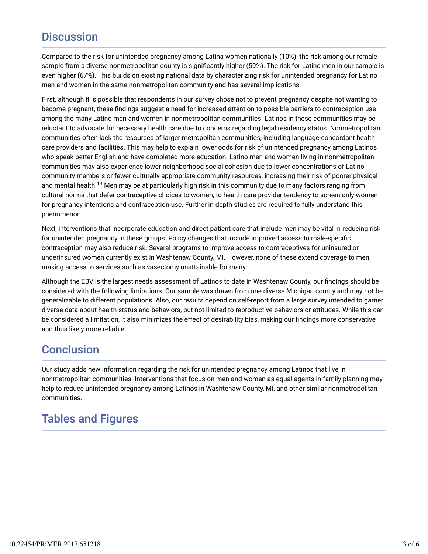## **Discussion**

Compared to the risk for unintended pregnancy among Latina women nationally (10%), the risk among our female sample from a diverse nonmetropolitan county is significantly higher (59%). The risk for Latino men in our sample is even higher (67%). This builds on existing national data by characterizing risk for unintended pregnancy for Latino men and women in the same nonmetropolitan community and has several implications.

First, although it is possible that respondents in our survey chose not to prevent pregnancy despite not wanting to become pregnant, these findings suggest a need for increased attention to possible barriers to contraception use among the many Latino men and women in nonmetropolitan communities. Latinos in these communities may be reluctant to advocate for necessary health care due to concerns regarding legal residency status. Nonmetropolitan communities often lack the resources of larger metropolitan communities, including language-concordant health care providers and facilities. This may help to explain lower odds for risk of unintended pregnancy among Latinos who speak better English and have completed more education. Latino men and women living in nonmetropolitan communities may also experience lower neighborhood social cohesion due to lower concentrations of Latino community members or fewer culturally appropriate community resources, increasing their risk of poorer physical and mental health.<sup>13</sup> Men may be at particularly high risk in this community due to many factors ranging from cultural norms that defer contraceptive choices to women, to health care provider tendency to screen only women for pregnancy intentions and contraception use. Further in-depth studies are required to fully understand this phenomenon.

Next, interventions that incorporate education and direct patient care that include men may be vital in reducing risk for unintended pregnancy in these groups. Policy changes that include improved access to male-specific contraception may also reduce risk. Several programs to improve access to contraceptives for uninsured or underinsured women currently exist in Washtenaw County, MI. However, none of these extend coverage to men, making access to services such as vasectomy unattainable for many.

Although the EBV is the largest needs assessment of Latinos to date in Washtenaw County, our findings should be considered with the following limitations. Our sample was drawn from one diverse Michigan county and may not be generalizable to different populations. Also, our results depend on self-report from a large survey intended to garner diverse data about health status and behaviors, but not limited to reproductive behaviors or attitudes. While this can be considered a limitation, it also minimizes the effect of desirability bias, making our findings more conservative and thus likely more reliable.

### **Conclusion**

Our study adds new information regarding the risk for unintended pregnancy among Latinos that live in nonmetropolitan communities. Interventions that focus on men and women as equal agents in family planning may help to reduce unintended pregnancy among Latinos in Washtenaw County, MI, and other similar nonmetropolitan communities.

### Tables and Figures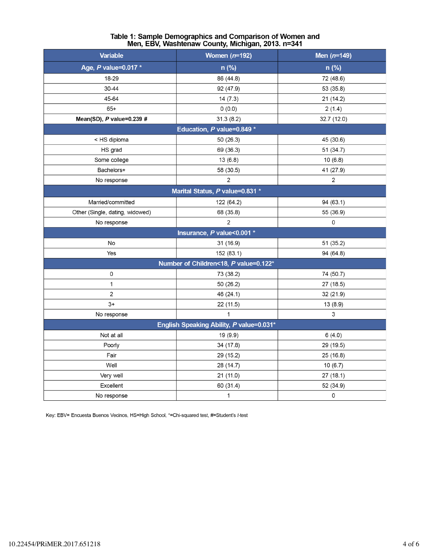| <b>Variable</b>                          | Women $(n=192)$ | Men $(n=149)$  |  |
|------------------------------------------|-----------------|----------------|--|
| Age, P value=0.017 *                     | n (%)           | n (%)          |  |
| 18-29                                    | 86 (44.8)       | 72 (48.6)      |  |
| 30-44                                    | 92 (47.9)       | 53 (35.8)      |  |
| 45-64                                    | 14(7.3)         | 21 (14.2)      |  |
| $65+$                                    | 0(0.0)          | 2(1.4)         |  |
| Mean(SD), P value=0.239 #                | 31.3(8.2)       | 32.7 (12.0)    |  |
| Education, P value=0.849 *               |                 |                |  |
| < HS diploma                             | 50 (26.3)       | 45 (30.6)      |  |
| HS grad                                  | 69 (36.3)       | 51 (34.7)      |  |
| Some college                             | 13(6.8)         | 10(6.8)        |  |
| Bachelors+                               | 58 (30.5)       | 41 (27.9)      |  |
| No response                              | $\overline{2}$  | $\overline{2}$ |  |
| Marital Status, P value=0.831 *          |                 |                |  |
| Married/committed                        | 122 (64.2)      | 94 (63.1)      |  |
| Other (Single, dating, widowed)          | 68 (35.8)       | 55 (36.9)      |  |
| No response                              | $\overline{2}$  | 0              |  |
| Insurance, P value<0.001 *               |                 |                |  |
| No                                       | 31 (16.9)       | 51 (35.2)      |  |
| Yes                                      | 152 (83.1)      | 94 (64.8)      |  |
| Number of Children<18, P value=0.122*    |                 |                |  |
| 0                                        | 73 (38.2)       | 74 (50.7)      |  |
| 1                                        | 50 (26.2)       | 27 (18.5)      |  |
| 2                                        | 46 (24.1)       | 32 (21.9)      |  |
| $3+$                                     | 22 (11.5)       | 13 (8.9)       |  |
| No response                              | $\mathbf{1}$    | 3              |  |
| English Speaking Ability, P value=0.031* |                 |                |  |
| Not at all                               | 19 (9.9)        | 6(4.0)         |  |
| Poorly                                   | 34 (17.8)       | 29 (19.5)      |  |
| Fair                                     | 29 (15.2)       | 25 (16.8)      |  |
| Well                                     | 28 (14.7)       | 10(6.7)        |  |
| Very well                                | 21(11.0)        | 27(18.1)       |  |
| Excellent                                | 60 (31.4)       | 52 (34.9)      |  |
| No response                              | $\mathbf{1}$    | 0              |  |

# Table 1: Sample Demographics and Comparison of Women and<br>Men, EBV, Washtenaw County, Michigan, 2013. n=341

Key: EBV= Encuesta Buenos Vecinos, HS=High School, \*=Chi-squared test, #=Student's t-test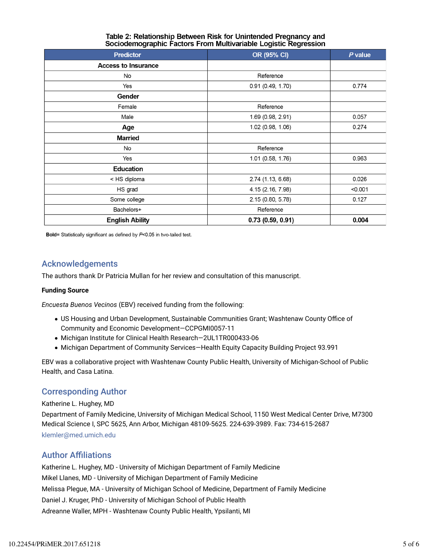| <b>Predictor</b>           | OR (95% CI)       | $P$ value |
|----------------------------|-------------------|-----------|
| <b>Access to Insurance</b> |                   |           |
| No                         | Reference         |           |
| Yes                        | 0.91(0.49, 1.70)  | 0.774     |
| Gender                     |                   |           |
| Female                     | Reference         |           |
| Male                       | 1.69 (0.98, 2.91) | 0.057     |
| Age                        | 1.02 (0.98, 1.06) | 0.274     |
| <b>Married</b>             |                   |           |
| No                         | Reference         |           |
| Yes                        | 1.01 (0.58, 1.76) | 0.963     |
| <b>Education</b>           |                   |           |
| < HS diploma               | 2.74 (1.13, 6.68) | 0.026     |
| HS grad                    | 4.15 (2.16, 7.98) | < 0.001   |
| Some college               | 2.15 (0.80, 5.78) | 0.127     |
| Bachelors+                 | Reference         |           |
| <b>English Ability</b>     | 0.73(0.59, 0.91)  | 0.004     |

#### Table 2: Relationship Between Risk for Unintended Pregnancy and Sociodemographic Factors From Multivariable Logistic Regression

Bold= Statistically significant as defined by  $P<0.05$  in two-tailed test.

### Acknowledgements

The authors thank Dr Patricia Mullan for her review and consultation of this manuscript.

#### **Funding Source**

*Encuesta Buenos Vecinos* (EBV) received funding from the following:

- US Housing and Urban Development, Sustainable Communities Grant; Washtenaw County Office of Community and Economic Development—CCPGMI0057-11
- Michigan Institute for Clinical Health Research—2UL1TR000433-06
- Michigan Department of Community Services—Health Equity Capacity Building Project 93.991

EBV was a collaborative project with Washtenaw County Public Health, University of Michigan-School of Public Health, and Casa Latina.

### Corresponding Author

Katherine L. Hughey, MD

Department of Family Medicine, University of Michigan Medical School, 1150 West Medical Center Drive, M7300 Medical Science I, SPC 5625, Ann Arbor, Michigan 48109-5625. 224-639-3989. Fax: 734-615-2687 klemler@med.umich.edu

#### **Author Affiliations**

Katherine L. Hughey, MD - University of Michigan Department of Family Medicine Mikel Llanes, MD - University of Michigan Department of Family Medicine Melissa Plegue, MA - University of Michigan School of Medicine, Department of Family Medicine Daniel J. Kruger, PhD - University of Michigan School of Public Health Adreanne Waller, MPH - Washtenaw County Public Health, Ypsilanti, MI